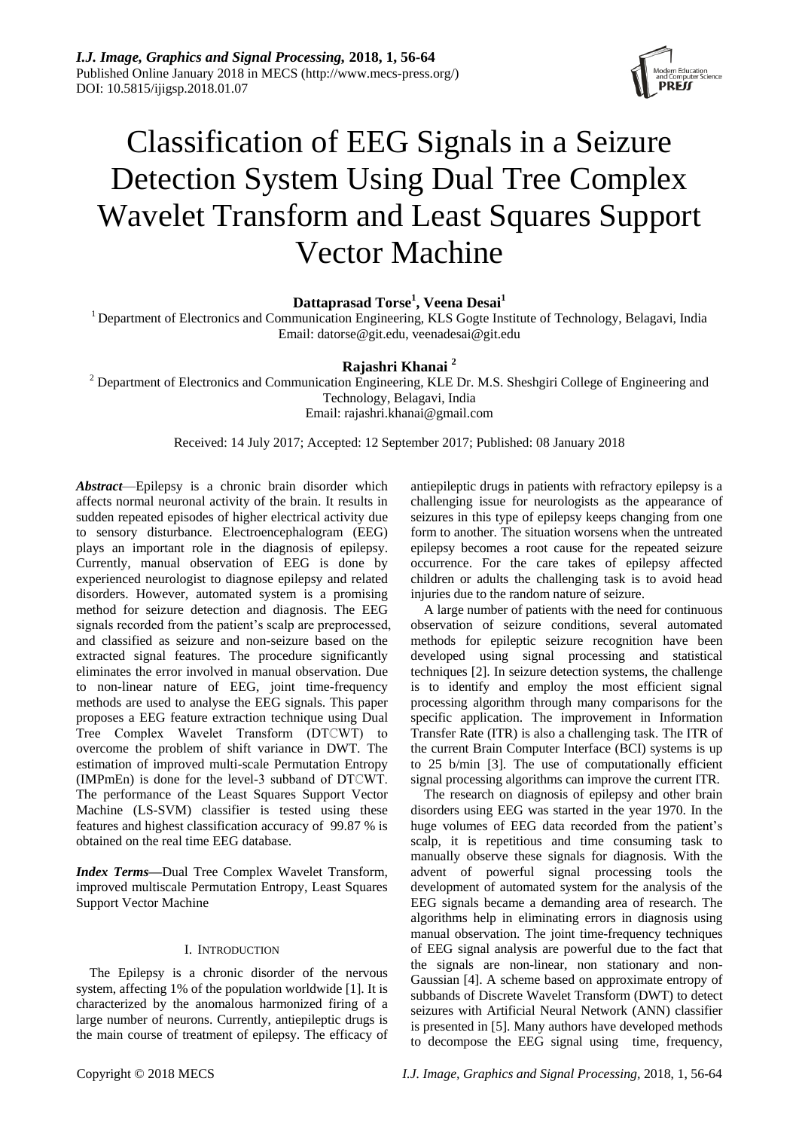

# Classification of EEG Signals in a Seizure Detection System Using Dual Tree Complex Wavelet Transform and Least Squares Support Vector Machine

**Dattaprasad Torse<sup>1</sup> , Veena Desai<sup>1</sup>**

<sup>1</sup> Department of Electronics and Communication Engineering, KLS Gogte Institute of Technology, Belagavi, India Email: datorse@git.edu, veenadesai@git.edu

## **Rajashri Khanai <sup>2</sup>**

<sup>2</sup> Department of Electronics and Communication Engineering, KLE Dr. M.S. Sheshgiri College of Engineering and Technology, Belagavi, India Email: rajashri.khanai@gmail.com

Received: 14 July 2017; Accepted: 12 September 2017; Published: 08 January 2018

*Abstract*—Epilepsy is a chronic brain disorder which affects normal neuronal activity of the brain. It results in sudden repeated episodes of higher electrical activity due to sensory disturbance. Electroencephalogram (EEG) plays an important role in the diagnosis of epilepsy. Currently, manual observation of EEG is done by experienced neurologist to diagnose epilepsy and related disorders. However, automated system is a promising method for seizure detection and diagnosis. The EEG signals recorded from the patient's scalp are preprocessed, and classified as seizure and non-seizure based on the extracted signal features. The procedure significantly eliminates the error involved in manual observation. Due to non-linear nature of EEG, joint time-frequency methods are used to analyse the EEG signals. This paper proposes a EEG feature extraction technique using Dual Tree Complex Wavelet Transform (DTCWT) to overcome the problem of shift variance in DWT. The estimation of improved multi-scale Permutation Entropy (IMPmEn) is done for the level-3 subband of DTℂWT. The performance of the Least Squares Support Vector Machine (LS-SVM) classifier is tested using these features and highest classification accuracy of 99.87 % is obtained on the real time EEG database.

*Index Terms—*Dual Tree Complex Wavelet Transform, improved multiscale Permutation Entropy, Least Squares Support Vector Machine

## I. INTRODUCTION

The Epilepsy is a chronic disorder of the nervous system, affecting 1% of the population worldwide [1]. It is characterized by the anomalous harmonized firing of a large number of neurons. Currently, antiepileptic drugs is the main course of treatment of epilepsy. The efficacy of

antiepileptic drugs in patients with refractory epilepsy is a challenging issue for neurologists as the appearance of seizures in this type of epilepsy keeps changing from one form to another. The situation worsens when the untreated epilepsy becomes a root cause for the repeated seizure occurrence. For the care takes of epilepsy affected children or adults the challenging task is to avoid head injuries due to the random nature of seizure.

A large number of patients with the need for continuous observation of seizure conditions, several automated methods for epileptic seizure recognition have been developed using signal processing and statistical techniques [2]. In seizure detection systems, the challenge is to identify and employ the most efficient signal processing algorithm through many comparisons for the specific application. The improvement in Information Transfer Rate (ITR) is also a challenging task. The ITR of the current Brain Computer Interface (BCI) systems is up to 25 b/min [3]. The use of computationally efficient signal processing algorithms can improve the current ITR.

The research on diagnosis of epilepsy and other brain disorders using EEG was started in the year 1970. In the huge volumes of EEG data recorded from the patient's scalp, it is repetitious and time consuming task to manually observe these signals for diagnosis. With the advent of powerful signal processing tools the development of automated system for the analysis of the EEG signals became a demanding area of research. The algorithms help in eliminating errors in diagnosis using manual observation. The joint time-frequency techniques of EEG signal analysis are powerful due to the fact that the signals are non-linear, non stationary and non-Gaussian [4]. A scheme based on approximate entropy of subbands of Discrete Wavelet Transform (DWT) to detect seizures with Artificial Neural Network (ANN) classifier is presented in [5]. Many authors have developed methods to decompose the EEG signal using time, frequency,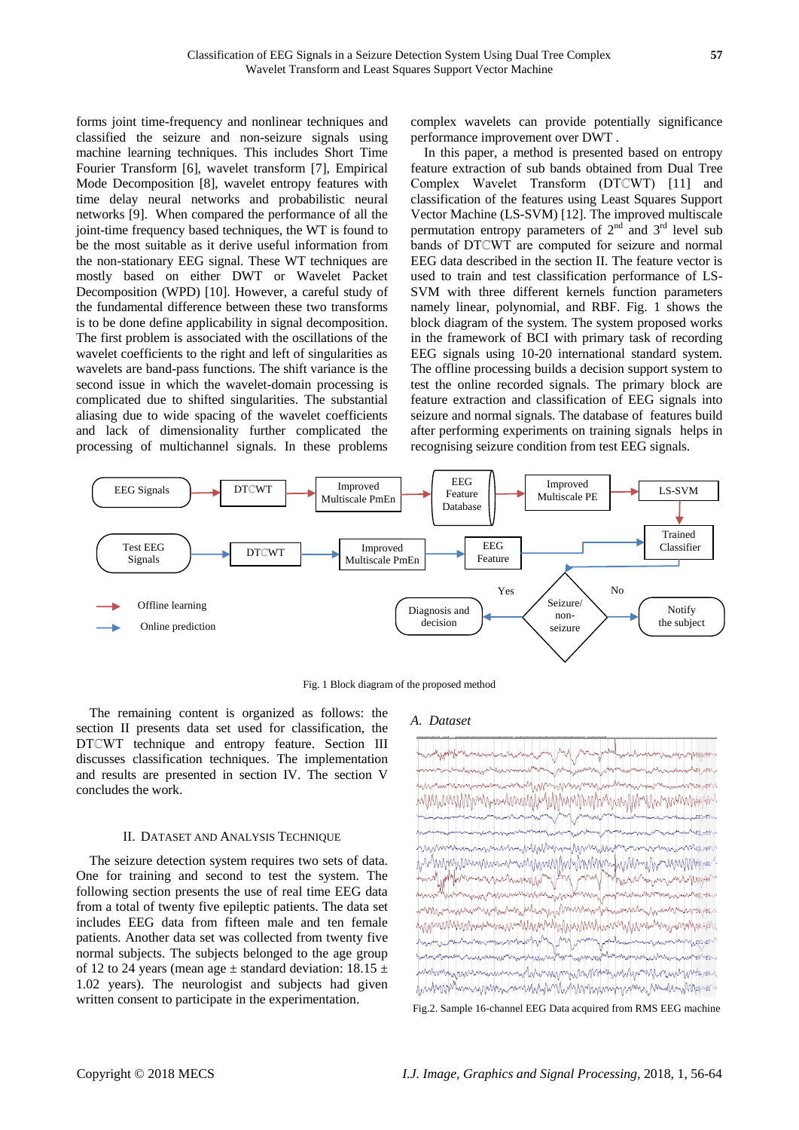forms joint time-frequency and nonlinear techniques and classified the seizure and non-seizure signals using machine learning techniques. This includes Short Time Fourier Transform [6], wavelet transform [7], Empirical Mode Decomposition [8], wavelet entropy features with time delay neural networks and probabilistic neural networks [9]. When compared the performance of all the joint-time frequency based techniques, the WT is found to be the most suitable as it derive useful information from the non-stationary EEG signal. These WT techniques are mostly based on either DWT or Wavelet Packet Decomposition (WPD) [10]. However, a careful study of the fundamental difference between these two transforms is to be done define applicability in signal decomposition. The first problem is associated with the oscillations of the wavelet coefficients to the right and left of singularities as wavelets are band-pass functions. The shift variance is the second issue in which the wavelet-domain processing is complicated due to shifted singularities. The substantial aliasing due to wide spacing of the wavelet coefficients and lack of dimensionality further complicated the processing of multichannel signals. In these problems

complex wavelets can provide potentially significance performance improvement over DWT .

In this paper, a method is presented based on entropy feature extraction of sub bands obtained from Dual Tree Complex Wavelet Transform (DTCWT) [11] and classification of the features using Least Squares Support Vector Machine (LS-SVM) [12]. The improved multiscale permutation entropy parameters of  $2<sup>nd</sup>$  and  $3<sup>rd</sup>$  level sub bands of DTCWT are computed for seizure and normal EEG data described in the section II. The feature vector is used to train and test classification performance of LS-SVM with three different kernels function parameters namely linear, polynomial, and RBF. Fig. 1 shows the block diagram of the system. The system proposed works in the framework of BCI with primary task of recording EEG signals using 10-20 international standard system. The offline processing builds a decision support system to test the online recorded signals. The primary block are feature extraction and classification of EEG signals into seizure and normal signals. The database of features build after performing experiments on training signals helps in recognising seizure condition from test EEG signals.



Fig. 1 Block diagram of the proposed method

The remaining content is organized as follows: the section II presents data set used for classification, the DTCWT technique and entropy feature. Section III discusses classification techniques. The implementation and results are presented in section IV. The section V concludes the work.

### II. DATASET AND ANALYSIS TECHNIQUE

The seizure detection system requires two sets of data. One for training and second to test the system. The following section presents the use of real time EEG data from a total of twenty five epileptic patients. The data set includes EEG data from fifteen male and ten female patients. Another data set was collected from twenty five normal subjects. The subjects belonged to the age group of 12 to 24 years (mean age  $\pm$  standard deviation: 18.15  $\pm$ 1.02 years). The neurologist and subjects had given written consent to participate in the experimentation.

#### *A. Dataset*

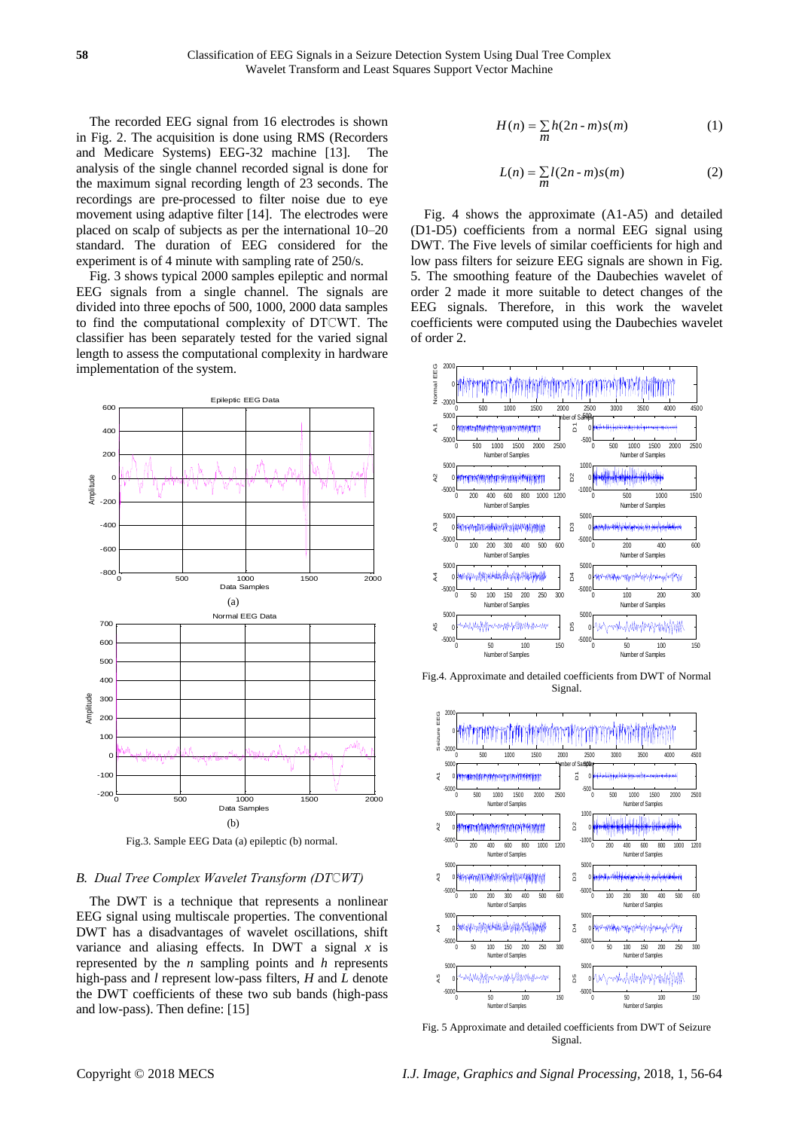The recorded EEG signal from 16 electrodes is shown in Fig. 2. The acquisition is done using RMS (Recorders and Medicare Systems) EEG-32 machine [13]. The analysis of the single channel recorded signal is done for the maximum signal recording length of 23 seconds. The recordings are pre-processed to filter noise due to eye movement using adaptive filter [14]. The electrodes were placed on scalp of subjects as per the international 10–20 standard. The duration of EEG considered for the experiment is of 4 minute with sampling rate of 250/s.

Fig. 3 shows typical 2000 samples epileptic and normal EEG signals from a single channel. The signals are divided into three epochs of 500, 1000, 2000 data samples to find the computational complexity of DTℂWT. The classifier has been separately tested for the varied signal length to assess the computational complexity in hardware implementation of the system.



Fig.3. Sample EEG Data (a) epileptic (b) normal.

#### *B. Dual Tree Complex Wavelet Transform (DTℂWT)*

The DWT is a technique that represents a nonlinear EEG signal using multiscale properties. The conventional DWT has a disadvantages of wavelet oscillations, shift variance and aliasing effects. In DWT a signal *x* is represented by the *n* sampling points and *h* represents high-pass and *l* represent low-pass filters, *H* and *L* denote the DWT coefficients of these two sub bands (high-pass and low-pass). Then define: [15]

$$
H(n) = \sum_{m} h(2n - m)s(m)
$$
 (1)

$$
L(n) = \sum_{m} l(2n-m)s(m)
$$
 (2)

Fig. 4 shows the approximate (A1-A5) and detailed (D1-D5) coefficients from a normal EEG signal using DWT. The Five levels of similar coefficients for high and low pass filters for seizure EEG signals are shown in Fig. 5. The smoothing feature of the Daubechies wavelet of order 2 made it more suitable to detect changes of the EEG signals. Therefore, in this work the wavelet coefficients were computed using the Daubechies wavelet of order 2.



Fig.4. Approximate and detailed coefficients from DWT of Normal Signal.



Fig. 5 Approximate and detailed coefficients from DWT of Seizure Signal.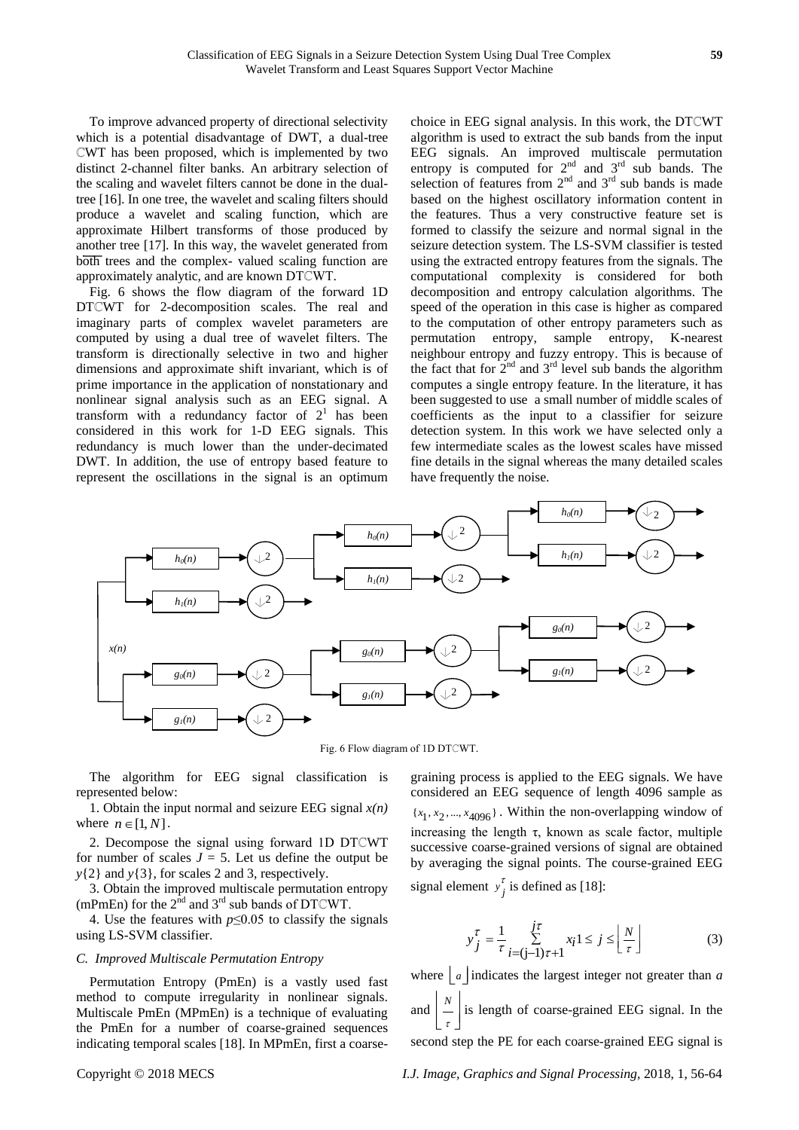To improve advanced property of directional selectivity which is a potential disadvantage of DWT, a dual-tree ℂWT has been proposed, which is implemented by two distinct 2-channel filter banks. An arbitrary selection of the scaling and wavelet filters cannot be done in the dualtree [16]. In one tree, the wavelet and scaling filters should produce a wavelet and scaling function, which are approximate Hilbert transforms of those produced by another tree [17]. In this way, the wavelet generated from both trees and the complex- valued scaling function are approximately analytic, and are known DTℂWT.

Fig. 6 shows the flow diagram of the forward 1D DTCWT for 2-decomposition scales. The real and imaginary parts of complex wavelet parameters are computed by using a dual tree of wavelet filters. The transform is directionally selective in two and higher dimensions and approximate shift invariant, which is of prime importance in the application of nonstationary and nonlinear signal analysis such as an EEG signal. A transform with a redundancy factor of  $2<sup>1</sup>$  has been considered in this work for 1-D EEG signals. This redundancy is much lower than the under-decimated DWT. In addition, the use of entropy based feature to represent the oscillations in the signal is an optimum

choice in EEG signal analysis. In this work, the DTℂWT algorithm is used to extract the sub bands from the input EEG signals. An improved multiscale permutation entropy is computed for  $2<sup>nd</sup>$  and  $3<sup>rd</sup>$  sub bands. The selection of features from  $2<sup>nd</sup>$  and  $3<sup>rd</sup>$  sub bands is made based on the highest oscillatory information content in the features. Thus a very constructive feature set is formed to classify the seizure and normal signal in the seizure detection system. The LS-SVM classifier is tested using the extracted entropy features from the signals. The computational complexity is considered for both decomposition and entropy calculation algorithms. The speed of the operation in this case is higher as compared to the computation of other entropy parameters such as permutation entropy, sample entropy, K-nearest neighbour entropy and fuzzy entropy. This is because of the fact that for  $2<sup>nd</sup>$  and  $3<sup>rd</sup>$  level sub bands the algorithm computes a single entropy feature. In the literature, it has been suggested to use a small number of middle scales of coefficients as the input to a classifier for seizure detection system. In this work we have selected only a few intermediate scales as the lowest scales have missed fine details in the signal whereas the many detailed scales have frequently the noise.



Fig. 6 Flow diagram of 1D DTℂWT.

The algorithm for EEG signal classification is represented below:

1. Obtain the input normal and seizure EEG signal  $x(n)$ where  $n \in [1, N]$ .

2. Decompose the signal using forward 1D DTCWT for number of scales  $J = 5$ . Let us define the output be *y*{2} and *y*{3}, for scales 2 and 3, respectively.

3. Obtain the improved multiscale permutation entropy (mPmEn) for the  $2^{\text{nd}}$  and  $3^{\text{rd}}$  sub bands of DTCWT.

4. Use the features with *p*≤0.05 to classify the signals using LS-SVM classifier.

#### *C. Improved Multiscale Permutation Entropy*

Permutation Entropy (PmEn) is a vastly used fast method to compute irregularity in nonlinear signals. Multiscale PmEn (MPmEn) is a technique of evaluating the PmEn for a number of coarse-grained sequences indicating temporal scales [18]. In MPmEn, first a coarsegraining process is applied to the EEG signals. We have considered an EEG sequence of length 4096 sample as  ${x_1, x_2, ..., x_{4096}}$ . Within the non-overlapping window of increasing the length  $\tau$ , known as scale factor, multiple successive coarse-grained versions of signal are obtained by averaging the signal points. The course-grained EEG signal element  $y_j^{\tau}$  is defined as [18]:

$$
y_j^{\tau} = \frac{1}{\tau} \sum_{i=(j-1)\tau+1}^{j\tau} x_i 1 \le j \le \left\lfloor \frac{N}{\tau} \right\rfloor
$$
 (3)

where  $\lfloor a \rfloor$  indicates the largest integer not greater than *a* and  $\left| \frac{N}{N} \right|$ τ  $\mid N \mid$  $\left[\frac{1}{\tau}\right]$  is length of coarse-grained EEG signal. In the second step the PE for each coarse-grained EEG signal is

Copyright © 2018 MECS *I.J. Image, Graphics and Signal Processing,* 2018, 1, 56-64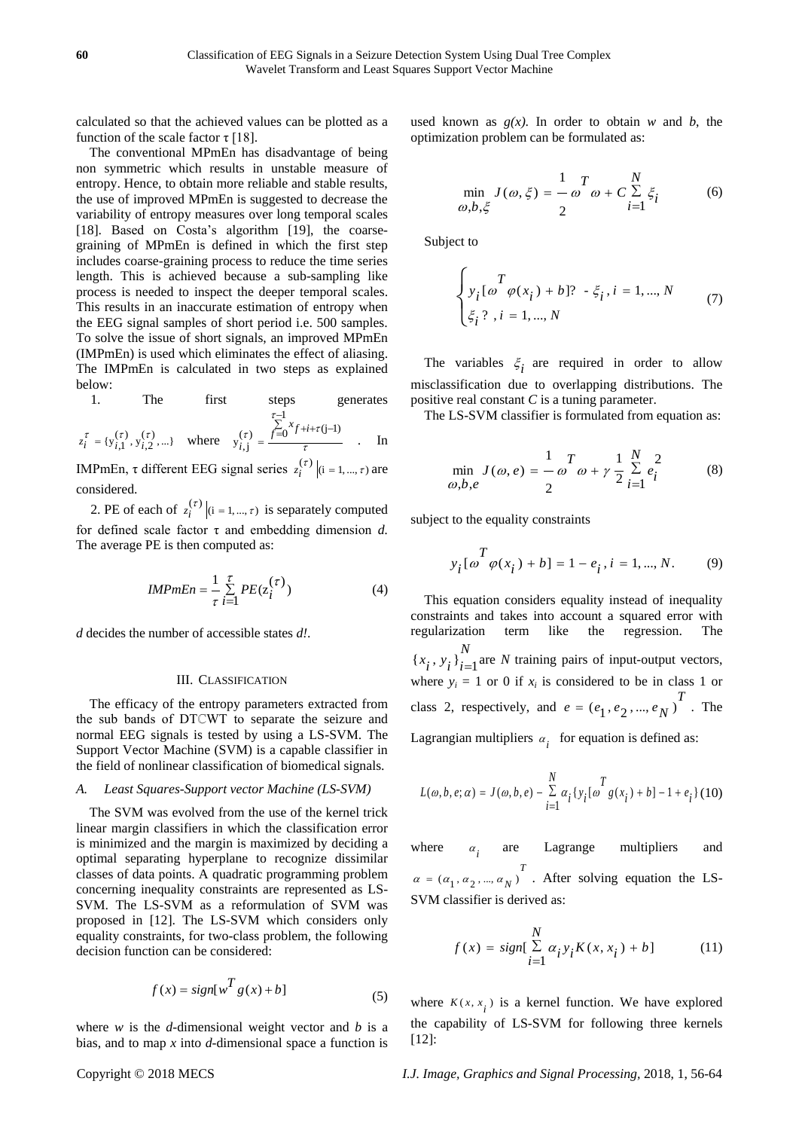calculated so that the achieved values can be plotted as a function of the scale factor  $\tau$  [18].

The conventional MPmEn has disadvantage of being non symmetric which results in unstable measure of entropy. Hence, to obtain more reliable and stable results, the use of improved MPmEn is suggested to decrease the variability of entropy measures over long temporal scales [18]. Based on Costa's algorithm [19], the coarsegraining of MPmEn is defined in which the first step includes coarse-graining process to reduce the time series length. This is achieved because a sub-sampling like process is needed to inspect the deeper temporal scales. This results in an inaccurate estimation of entropy when the EEG signal samples of short period i.e. 500 samples. To solve the issue of short signals, an improved MPmEn (IMPmEn) is used which eliminates the effect of aliasing. The IMPmEn is calculated in two steps as explained below:

1. The first steps generates 
$$
\tau_{-1}^{-1}
$$

$$
z_i^{\tau} = \{y_{i,1}^{(\tau)}, y_{i,2}^{(\tau)}, ...\}
$$
 where 
$$
y_{i,j}^{(\tau)} = \frac{\sum_{j=0}^{\tau-1} x_{f+i+\tau(j-1)}}{\tau}
$$
. In

**IMPmEn, τ different EEG signal series**  $z_i^{(\tau)} |$  (i = 1, ...,  $\tau$ ) are considered.

2. PE of each of  $z_i^{(\tau)} | (i = 1, ..., \tau)$  is separately computed for defined scale factor τ and embedding dimension *d.*  The average PE is then computed as:

$$
IMPmEn = \frac{1}{\tau} \sum_{i=1}^{\tau} PE(z_i^{(\tau)})
$$
\n(4)

*d* decides the number of accessible states *d!*.

#### III. CLASSIFICATION

The efficacy of the entropy parameters extracted from the sub bands of DTℂWT to separate the seizure and normal EEG signals is tested by using a LS-SVM. The Support Vector Machine (SVM) is a capable classifier in the field of nonlinear classification of biomedical signals.

#### *A. Least Squares-Support vector Machine (LS-SVM)*

The SVM was evolved from the use of the kernel trick linear margin classifiers in which the classification error is minimized and the margin is maximized by deciding a optimal separating hyperplane to recognize dissimilar classes of data points. A quadratic programming problem concerning inequality constraints are represented as LS-SVM. The LS-SVM as a reformulation of SVM was proposed in [12]. The LS-SVM which considers only equality constraints, for two-class problem, the following decision function can be considered:

$$
f(x) = sign[w^T g(x) + b]
$$
 (5)

where  $w$  is the  $d$ -dimensional weight vector and  $b$  is a bias, and to map *x* into *d*-dimensional space a function is used known as  $g(x)$ . In order to obtain *w* and *b*, the optimization problem can be formulated as:

$$
\min_{\omega, b, \xi} J(\omega, \xi) = -\omega^T \omega + C \sum_{i=1}^N \xi_i
$$
 (6)

Subject to

$$
\begin{cases} T & \text{if } i \in \{0, \phi(x_i) + b\} \text{ and } j = 1, \dots, N \\ \xi_i^2, \, i = 1, \dots, N & \text{(7)} \end{cases}
$$

The variables  $\xi$ <sub>i</sub> are required in order to allow misclassification due to overlapping distributions. The positive real constant *C* is a tuning parameter.

The LS-SVM classifier is formulated from equation as:

$$
\min_{\omega, b, e} J(\omega, e) = -\omega^T \omega + \gamma \frac{1}{2} \sum_{i=1}^N e_i^2
$$
 (8)

subject to the equality constraints

$$
y_i[\omega^T \varphi(x_i) + b] = 1 - e_i, i = 1, ..., N.
$$
 (9)

This equation considers equality instead of inequality constraints and takes into account a squared error with regularization term like the regression. The  ${x_i, y_i}_{i=1}$ *N*  $\{x_i, y_i\}_{i=1}$  are *N* training pairs of input-output vectors, where  $y_i = 1$  or 0 if  $x_i$  is considered to be in class 1 or class 2, respectively, and  $e = (e_1, e_2, ..., e_N)^T$ . The Lagrangian multipliers  $\alpha_i$  for equation is defined as:

$$
L(\omega, b, e; \alpha) = J(\omega, b, e) - \sum_{i=1}^{N} \alpha_i \{y_i [\omega \frac{T}{g(x_i)} + b] - 1 + e_i\} (10)
$$

where  $\alpha$ <sub>*i*</sub> are Lagrange multipliers and  $(a_1, a_2, ..., a_N)^T$  $\alpha = (\alpha_1, \alpha_2, ..., \alpha_N)$ . After solving equation the LS-SVM classifier is derived as:

$$
f(x) = sign[\sum_{i=1}^{N} \alpha_i y_i K(x, x_i) + b]
$$
 (11)

where  $K(x, x_i)$  is a kernel function. We have explored the capability of LS-SVM for following three kernels [12]:

Copyright © 2018 MECS *I.J. Image, Graphics and Signal Processing,* 2018, 1, 56-64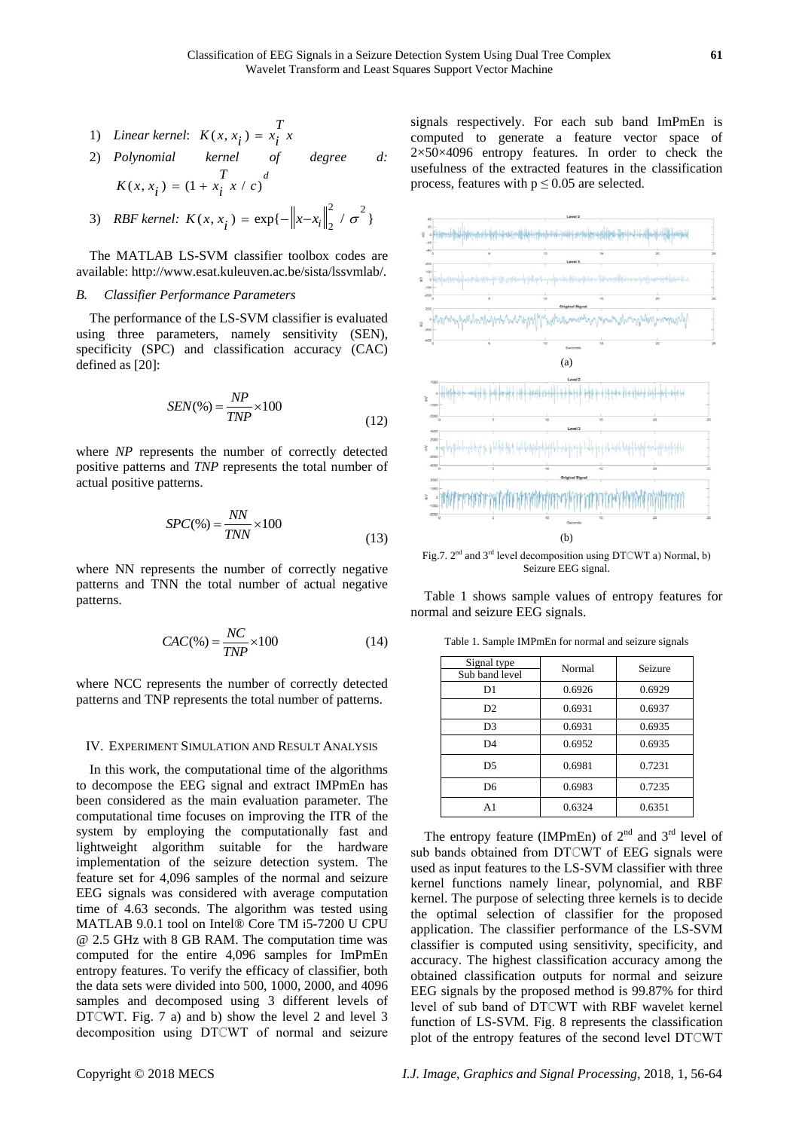- 1) *Linear kernel*:  $K(x, x_i) = x_i^T x_i$
- 2) *Polynomial kernel of degree d:*   $K(x, x_i) = (1 + x_i^T x / c)^d$

3) *RBF kernel*: 
$$
K(x, x_i) = \exp\{-\left\|x - x_i\right\|_2^2 / \sigma^2\}
$$

The MATLAB LS-SVM classifier toolbox codes are available: http://www.esat.kuleuven.ac.be/sista/lssvmlab/.

#### *B. Classifier Performance Parameters*

The performance of the LS-SVM classifier is evaluated using three parameters, namely sensitivity (SEN), specificity (SPC) and classification accuracy (CAC) defined as [20]:

$$
SEN(\%) = \frac{NP}{TNP} \times 100\tag{12}
$$

where *NP* represents the number of correctly detected positive patterns and *TNP* represents the total number of actual positive patterns.

$$
SPC(\%) = \frac{NN}{TNN} \times 100\tag{13}
$$

where NN represents the number of correctly negative patterns and TNN the total number of actual negative patterns.

$$
CAC(\%) = \frac{NC}{TNP} \times 100\tag{14}
$$

where NCC represents the number of correctly detected patterns and TNP represents the total number of patterns.

#### IV. EXPERIMENT SIMULATION AND RESULT ANALYSIS

In this work, the computational time of the algorithms to decompose the EEG signal and extract IMPmEn has been considered as the main evaluation parameter. The computational time focuses on improving the ITR of the system by employing the computationally fast and lightweight algorithm suitable for the hardware implementation of the seizure detection system. The feature set for 4,096 samples of the normal and seizure EEG signals was considered with average computation time of 4.63 seconds. The algorithm was tested using MATLAB 9.0.1 tool on Intel® Core TM i5-7200 U CPU @ 2.5 GHz with 8 GB RAM. The computation time was computed for the entire 4,096 samples for ImPmEn entropy features. To verify the efficacy of classifier, both the data sets were divided into 500, 1000, 2000, and 4096 samples and decomposed using 3 different levels of DTCWT. Fig. 7 a) and b) show the level 2 and level 3 decomposition using DTℂWT of normal and seizure

signals respectively. For each sub band ImPmEn is computed to generate a feature vector space of 2×50×4096 entropy features. In order to check the usefulness of the extracted features in the classification process, features with  $p \le 0.05$  are selected.



Seizure EEG signal.

Table 1 shows sample values of entropy features for normal and seizure EEG signals.

| Signal type    | Normal | Seizure |  |
|----------------|--------|---------|--|
| Sub band level |        |         |  |
| D1             | 0.6926 | 0.6929  |  |
| D2             | 0.6931 | 0.6937  |  |
| D <sub>3</sub> | 0.6931 | 0.6935  |  |
| D <sub>4</sub> | 0.6952 | 0.6935  |  |
| D5             | 0.6981 | 0.7231  |  |
| D <sub>6</sub> | 0.6983 | 0.7235  |  |
| A1             | 0.6324 | 0.6351  |  |

Table 1. Sample IMPmEn for normal and seizure signals

The entropy feature (IMPmEn) of  $2<sup>nd</sup>$  and  $3<sup>rd</sup>$  level of sub bands obtained from DTCWT of EEG signals were used as input features to the LS-SVM classifier with three kernel functions namely linear, polynomial, and RBF kernel. The purpose of selecting three kernels is to decide the optimal selection of classifier for the proposed application. The classifier performance of the LS-SVM classifier is computed using sensitivity, specificity, and accuracy. The highest classification accuracy among the obtained classification outputs for normal and seizure EEG signals by the proposed method is 99.87% for third level of sub band of DTℂWT with RBF wavelet kernel function of LS-SVM. Fig. 8 represents the classification plot of the entropy features of the second level DTℂWT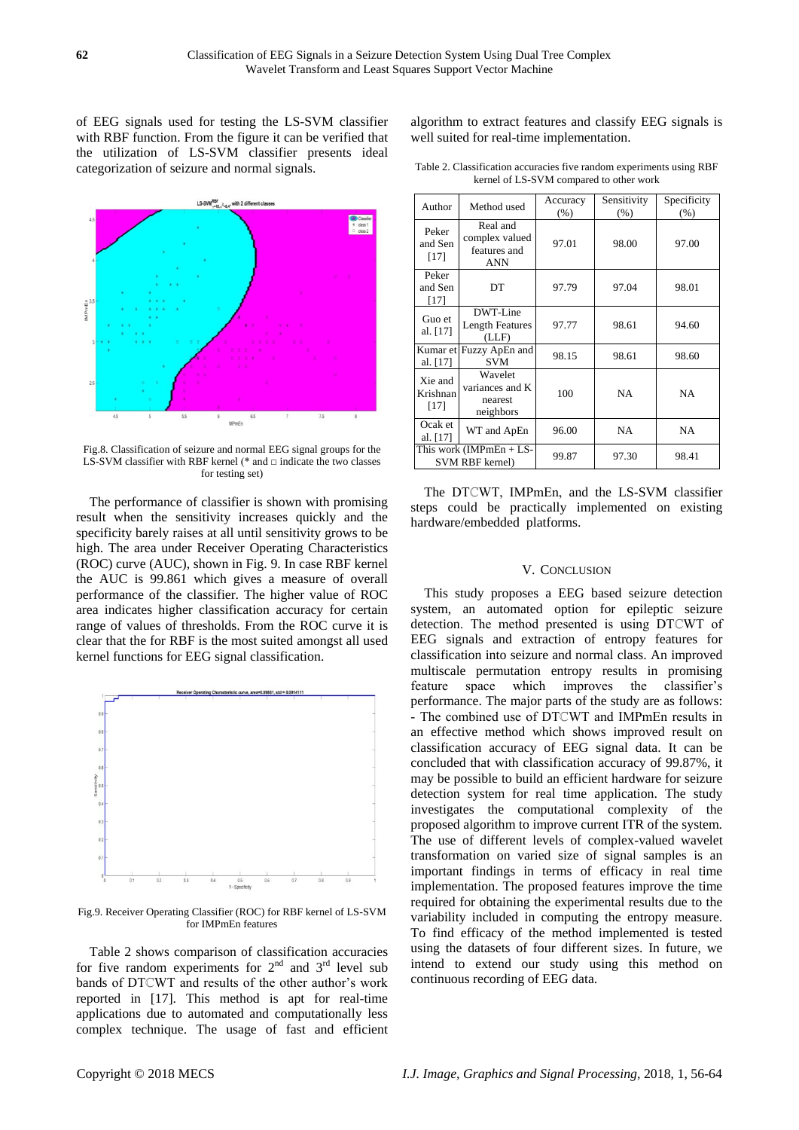of EEG signals used for testing the LS-SVM classifier with RBF function. From the figure it can be verified that the utilization of LS-SVM classifier presents ideal categorization of seizure and normal signals.



Fig.8. Classification of seizure and normal EEG signal groups for the LS-SVM classifier with RBF kernel (\* and  $\Box$  indicate the two classes for testing set)

The performance of classifier is shown with promising result when the sensitivity increases quickly and the specificity barely raises at all until sensitivity grows to be high. The area under Receiver Operating Characteristics (ROC) curve (AUC), shown in Fig. 9. In case RBF kernel the AUC is 99.861 which gives a measure of overall performance of the classifier. The higher value of ROC area indicates higher classification accuracy for certain range of values of thresholds. From the ROC curve it is clear that the for RBF is the most suited amongst all used kernel functions for EEG signal classification.



Fig.9. Receiver Operating Classifier (ROC) for RBF kernel of LS-SVM for IMPmEn features

Table 2 shows comparison of classification accuracies for five random experiments for  $2<sup>nd</sup>$  and  $3<sup>rd</sup>$  level sub bands of DTCWT and results of the other author's work reported in [17]. This method is apt for real-time applications due to automated and computationally less complex technique. The usage of fast and efficient algorithm to extract features and classify EEG signals is well suited for real-time implementation.

Table 2. Classification accuracies five random experiments using RBF kernel of LS-SVM compared to other work

| Author                        | Method used                                              | Accuracy<br>$(\%)$ | Sensitivity<br>(% ) | Specificity<br>(% ) |
|-------------------------------|----------------------------------------------------------|--------------------|---------------------|---------------------|
| Peker<br>and Sen<br>[17]      | Real and<br>complex valued<br>features and<br><b>ANN</b> | 97.01              | 98.00               | 97.00               |
| Peker<br>and Sen<br>$[17]$    | DT                                                       | 97.79              | 97.04               | 98.01               |
| Guo et<br>al. [17]            | DWT-Line<br><b>Length Features</b><br>(LLF)              | 97.77              | 98.61               | 94.60               |
| al. [17]                      | Kumar et Fuzzy ApEn and<br><b>SVM</b>                    | 98.15              | 98.61               | 98.60               |
| Xie and<br>Krishnan<br>$[17]$ | Wavelet<br>variances and K<br>nearest<br>neighbors       | 100                | <b>NA</b>           | <b>NA</b>           |
| Ocak et<br>al. [17]           | WT and ApEn                                              | 96.00              | <b>NA</b>           | <b>NA</b>           |
|                               | This work (IMPmEn $+$ LS-<br>SVM RBF kernel)             | 99.87              | 97.30               | 98.41               |

The DTCWT, IMPmEn, and the LS-SVM classifier steps could be practically implemented on existing hardware/embedded platforms.

## V. CONCLUSION

This study proposes a EEG based seizure detection system, an automated option for epileptic seizure detection. The method presented is using DTℂWT of EEG signals and extraction of entropy features for classification into seizure and normal class. An improved multiscale permutation entropy results in promising feature space which improves the classifier's performance. The major parts of the study are as follows: - The combined use of DTℂWT and IMPmEn results in an effective method which shows improved result on classification accuracy of EEG signal data. It can be concluded that with classification accuracy of 99.87%, it may be possible to build an efficient hardware for seizure detection system for real time application. The study investigates the computational complexity of the proposed algorithm to improve current ITR of the system. The use of different levels of complex-valued wavelet transformation on varied size of signal samples is an important findings in terms of efficacy in real time implementation. The proposed features improve the time required for obtaining the experimental results due to the variability included in computing the entropy measure. To find efficacy of the method implemented is tested using the datasets of four different sizes. In future, we intend to extend our study using this method on continuous recording of EEG data.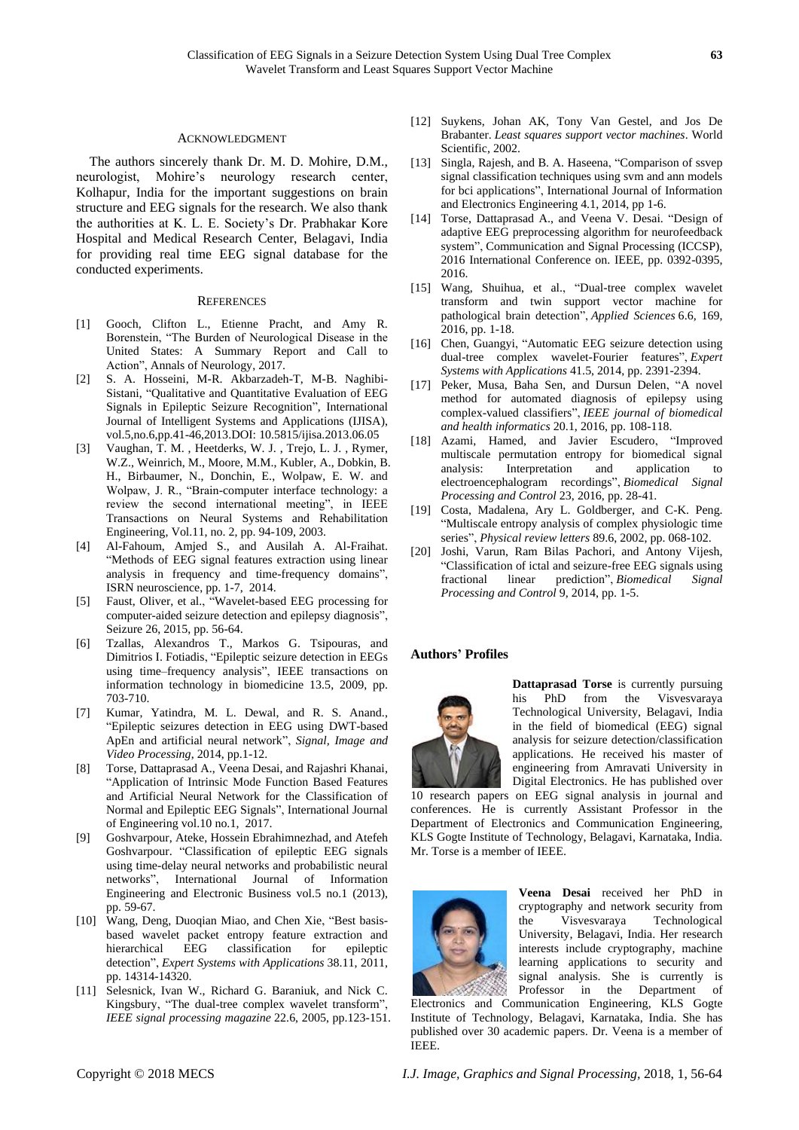### ACKNOWLEDGMENT

The authors sincerely thank Dr. M. D. Mohire, D.M., neurologist, Mohire's neurology research center, Kolhapur, India for the important suggestions on brain structure and EEG signals for the research. We also thank the authorities at K. L. E. Society's Dr. Prabhakar Kore Hospital and Medical Research Center, Belagavi, India for providing real time EEG signal database for the conducted experiments.

#### **REFERENCES**

- [1] Gooch, Clifton L., Etienne Pracht, and Amy R. Borenstein, "The Burden of Neurological Disease in the United States: A Summary Report and Call to Action", Annals of Neurology, 2017.
- [2] S. A. Hosseini, M-R. Akbarzadeh-T, M-B. Naghibi-Sistani, "Qualitative and Quantitative Evaluation of EEG Signals in Epileptic Seizure Recognition", International Journal of Intelligent Systems and Applications (IJISA), vol.5,no.6,pp.41-46,2013.DOI: 10.5815/ijisa.2013.06.05
- [3] Vaughan, T. M. , Heetderks, W. J. , Trejo, L. J. , Rymer, W.Z., Weinrich, M., Moore, M.M., Kubler, A., Dobkin, B. H., Birbaumer, N., Donchin, E., Wolpaw, E. W. and Wolpaw, J. R., "Brain-computer interface technology: a review the second international meeting", in IEEE Transactions on Neural Systems and Rehabilitation Engineering, Vol.11, no. 2, pp. 94-109, 2003.
- [4] Al-Fahoum, Amjed S., and Ausilah A. Al-Fraihat. "Methods of EEG signal features extraction using linear analysis in frequency and time-frequency domains", ISRN neuroscience, pp. 1-7, 2014.
- [5] Faust, Oliver, et al., "Wavelet-based EEG processing for computer-aided seizure detection and epilepsy diagnosis", Seizure 26, 2015, pp. 56-64.
- [6] Tzallas, Alexandros T., Markos G. Tsipouras, and Dimitrios I. Fotiadis, "Epileptic seizure detection in EEGs using time–frequency analysis", IEEE transactions on information technology in biomedicine 13.5, 2009, pp. 703-710.
- [7] Kumar, Yatindra, M. L. Dewal, and R. S. Anand., "Epileptic seizures detection in EEG using DWT-based ApEn and artificial neural network", *Signal, Image and Video Processing*, 2014, pp.1-12.
- [8] Torse, Dattaprasad A., Veena Desai, and Rajashri Khanai, "Application of Intrinsic Mode Function Based Features and Artificial Neural Network for the Classification of Normal and Epileptic EEG Signals", International Journal of Engineering vol.10 no.1, 2017.
- [9] Goshvarpour, Ateke, Hossein Ebrahimnezhad, and Atefeh Goshvarpour. "Classification of epileptic EEG signals using time-delay neural networks and probabilistic neural networks", International Journal of Information Engineering and Electronic Business vol.5 no.1 (2013), pp. 59-67.
- [10] Wang, Deng, Duoqian Miao, and Chen Xie, "Best basisbased wavelet packet entropy feature extraction and hierarchical EEG classification for epileptic detection", *Expert Systems with Applications* 38.11, 2011, pp. 14314-14320.
- [11] Selesnick, Ivan W., Richard G. Baraniuk, and Nick C. Kingsbury, "The dual-tree complex wavelet transform", *IEEE signal processing magazine* 22.6, 2005, pp.123-151.
- [12] Suykens, Johan AK, Tony Van Gestel, and Jos De Brabanter. *Least squares support vector machines*. World Scientific, 2002.
- [13] Singla, Rajesh, and B. A. Haseena, "Comparison of ssvep signal classification techniques using svm and ann models for bci applications", International Journal of Information and Electronics Engineering 4.1, 2014, pp 1-6.
- [14] Torse, Dattaprasad A., and Veena V. Desai. "Design of adaptive EEG preprocessing algorithm for neurofeedback system", Communication and Signal Processing (ICCSP), 2016 International Conference on. IEEE, pp. 0392-0395, 2016.
- [15] Wang, Shuihua, et al., "Dual-tree complex wavelet transform and twin support vector machine for pathological brain detection", *Applied Sciences* 6.6, 169, 2016, pp. 1-18.
- [16] Chen, Guangyi, "Automatic EEG seizure detection using dual-tree complex wavelet-Fourier features", *Expert Systems with Applications* 41.5, 2014, pp. 2391-2394.
- [17] Peker, Musa, Baha Sen, and Dursun Delen, "A novel method for automated diagnosis of epilepsy using complex-valued classifiers", *IEEE journal of biomedical and health informatics* 20.1, 2016, pp. 108-118.
- [18] Azami, Hamed, and Javier Escudero, "Improved multiscale permutation entropy for biomedical signal analysis: Interpretation and application to electroencephalogram recordings", *Biomedical Signal Processing and Control* 23, 2016, pp. 28-41.
- [19] Costa, Madalena, Ary L. Goldberger, and C-K. Peng. "Multiscale entropy analysis of complex physiologic time series", *Physical review letters* 89.6, 2002, pp. 068-102.
- [20] Joshi, Varun, Ram Bilas Pachori, and Antony Vijesh, "Classification of ictal and seizure-free EEG signals using fractional linear prediction", *Biomedical Signal Processing and Control* 9, 2014, pp. 1-5.

#### **Authors' Profiles**



**Dattaprasad Torse** is currently pursuing his PhD from the Visvesvaraya Technological University, Belagavi, India in the field of biomedical (EEG) signal analysis for seizure detection/classification applications. He received his master of engineering from Amravati University in Digital Electronics. He has published over

10 research papers on EEG signal analysis in journal and conferences. He is currently Assistant Professor in the Department of Electronics and Communication Engineering, KLS Gogte Institute of Technology, Belagavi, Karnataka, India. Mr. Torse is a member of IEEE.



**Veena Desai** received her PhD in cryptography and network security from the Visvesvaraya Technological University, Belagavi, India. Her research interests include cryptography, machine learning applications to security and signal analysis. She is currently is Professor in the Department of

Electronics and Communication Engineering, KLS Gogte Institute of Technology, Belagavi, Karnataka, India. She has published over 30 academic papers. Dr. Veena is a member of IEEE.